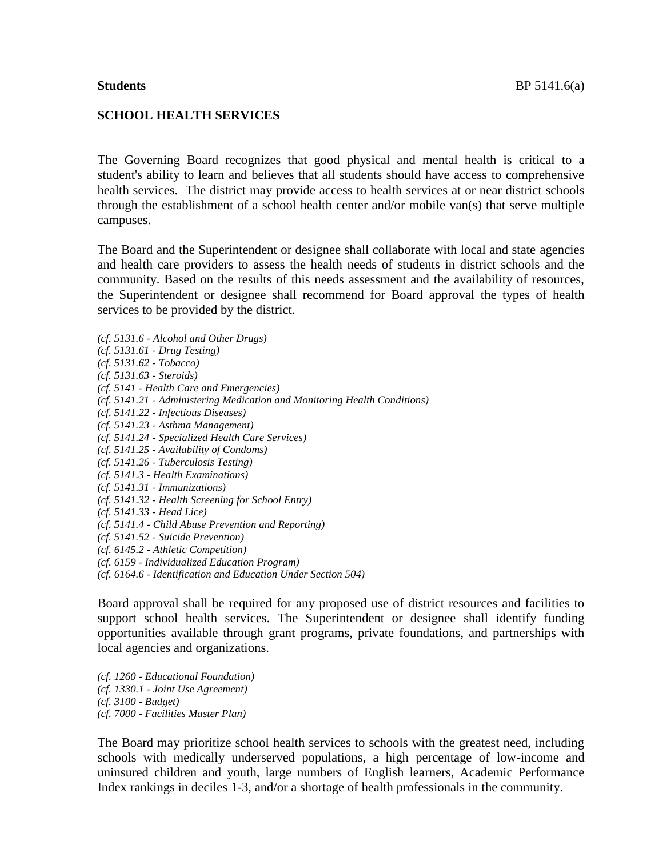### **SCHOOL HEALTH SERVICES**

The Governing Board recognizes that good physical and mental health is critical to a student's ability to learn and believes that all students should have access to comprehensive health services. The district may provide access to health services at or near district schools through the establishment of a school health center and/or mobile van(s) that serve multiple campuses.

The Board and the Superintendent or designee shall collaborate with local and state agencies and health care providers to assess the health needs of students in district schools and the community. Based on the results of this needs assessment and the availability of resources, the Superintendent or designee shall recommend for Board approval the types of health services to be provided by the district.

*(cf. 5131.6 - Alcohol and Other Drugs) (cf. 5131.61 - Drug Testing) (cf. 5131.62 - Tobacco) (cf. 5131.63 - Steroids) (cf. 5141 - Health Care and Emergencies) (cf. 5141.21 - Administering Medication and Monitoring Health Conditions) (cf. 5141.22 - Infectious Diseases) (cf. 5141.23 - Asthma Management) (cf. 5141.24 - Specialized Health Care Services) (cf. 5141.25 - Availability of Condoms) (cf. 5141.26 - Tuberculosis Testing) (cf. 5141.3 - Health Examinations) (cf. 5141.31 - Immunizations) (cf. 5141.32 - Health Screening for School Entry) (cf. 5141.33 - Head Lice) (cf. 5141.4 - Child Abuse Prevention and Reporting) (cf. 5141.52 - Suicide Prevention) (cf. 6145.2 - Athletic Competition) (cf. 6159 - Individualized Education Program) (cf. 6164.6 - Identification and Education Under Section 504)*

Board approval shall be required for any proposed use of district resources and facilities to support school health services. The Superintendent or designee shall identify funding opportunities available through grant programs, private foundations, and partnerships with local agencies and organizations.

*(cf. 1260 - Educational Foundation) (cf. 1330.1 - Joint Use Agreement) (cf. 3100 - Budget) (cf. 7000 - Facilities Master Plan)*

The Board may prioritize school health services to schools with the greatest need, including schools with medically underserved populations, a high percentage of low-income and uninsured children and youth, large numbers of English learners, Academic Performance Index rankings in deciles 1-3, and/or a shortage of health professionals in the community.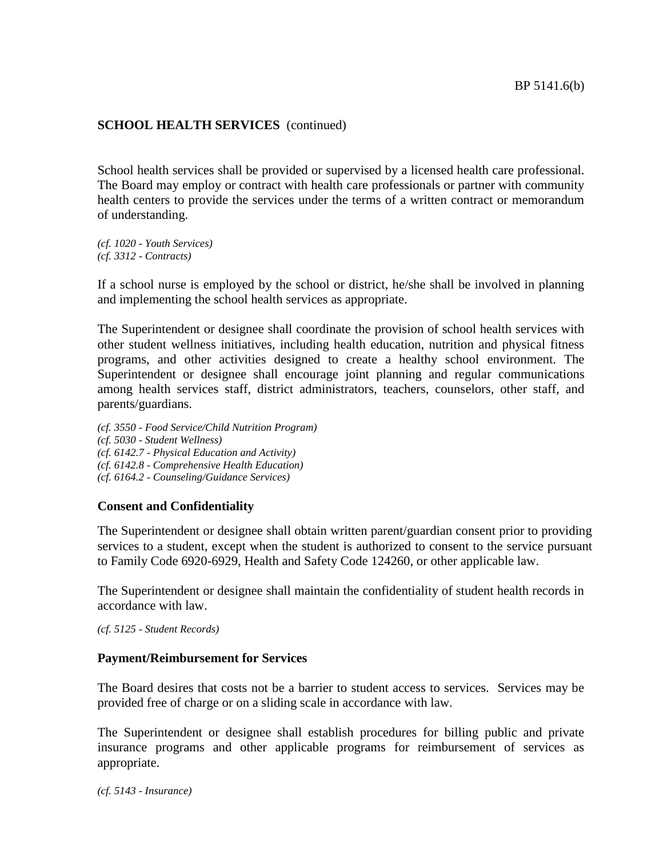School health services shall be provided or supervised by a licensed health care professional. The Board may employ or contract with health care professionals or partner with community health centers to provide the services under the terms of a written contract or memorandum of understanding.

*(cf. 1020 - Youth Services) (cf. 3312 - Contracts)*

If a school nurse is employed by the school or district, he/she shall be involved in planning and implementing the school health services as appropriate.

The Superintendent or designee shall coordinate the provision of school health services with other student wellness initiatives, including health education, nutrition and physical fitness programs, and other activities designed to create a healthy school environment. The Superintendent or designee shall encourage joint planning and regular communications among health services staff, district administrators, teachers, counselors, other staff, and parents/guardians.

*(cf. 3550 - Food Service/Child Nutrition Program) (cf. 5030 - Student Wellness) (cf. 6142.7 - Physical Education and Activity) (cf. 6142.8 - Comprehensive Health Education) (cf. 6164.2 - Counseling/Guidance Services)*

### **Consent and Confidentiality**

The Superintendent or designee shall obtain written parent/guardian consent prior to providing services to a student, except when the student is authorized to consent to the service pursuant to Family Code 6920-6929, Health and Safety Code 124260, or other applicable law.

The Superintendent or designee shall maintain the confidentiality of student health records in accordance with law.

*(cf. 5125 - Student Records)*

### **Payment/Reimbursement for Services**

The Board desires that costs not be a barrier to student access to services. Services may be provided free of charge or on a sliding scale in accordance with law.

The Superintendent or designee shall establish procedures for billing public and private insurance programs and other applicable programs for reimbursement of services as appropriate.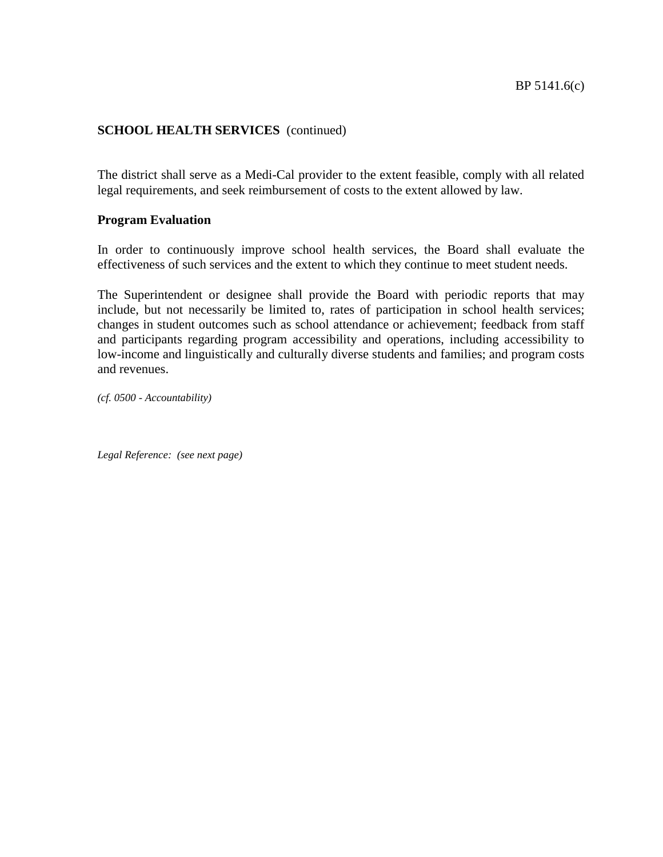The district shall serve as a Medi-Cal provider to the extent feasible, comply with all related legal requirements, and seek reimbursement of costs to the extent allowed by law.

## **Program Evaluation**

In order to continuously improve school health services, the Board shall evaluate the effectiveness of such services and the extent to which they continue to meet student needs.

The Superintendent or designee shall provide the Board with periodic reports that may include, but not necessarily be limited to, rates of participation in school health services; changes in student outcomes such as school attendance or achievement; feedback from staff and participants regarding program accessibility and operations, including accessibility to low-income and linguistically and culturally diverse students and families; and program costs and revenues.

*(cf. 0500 - Accountability)*

*Legal Reference: (see next page)*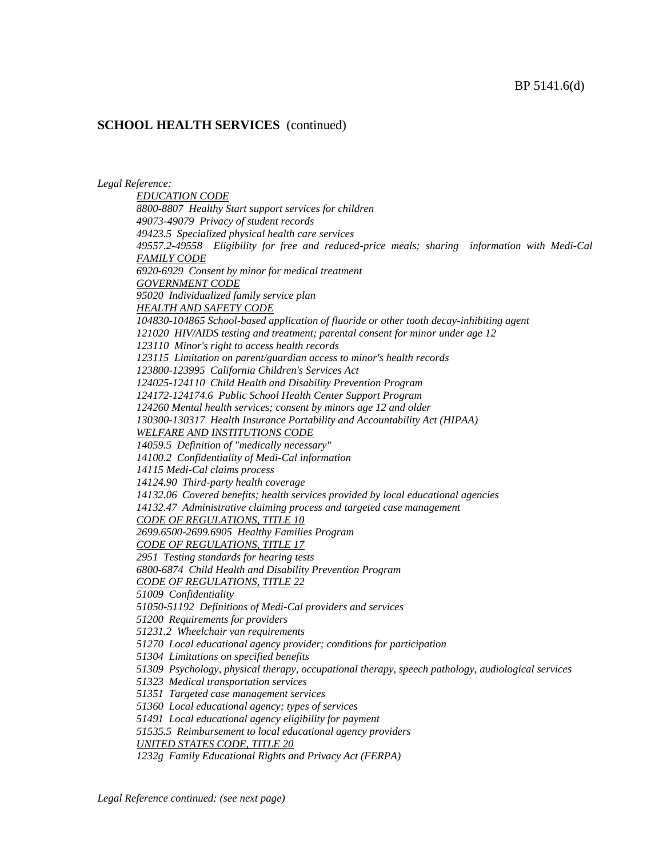*Legal Reference:*

*EDUCATION CODE 8800-8807 Healthy Start support services for children 49073-49079 Privacy of student records 49423.5 Specialized physical health care services 49557.2-49558 Eligibility for free and reduced-price meals; sharing information with Medi-Cal FAMILY CODE 6920-6929 Consent by minor for medical treatment GOVERNMENT CODE 95020 Individualized family service plan HEALTH AND SAFETY CODE 104830-104865 School-based application of fluoride or other tooth decay-inhibiting agent 121020 HIV/AIDS testing and treatment; parental consent for minor under age 12 123110 Minor's right to access health records 123115 Limitation on parent/guardian access to minor's health records 123800-123995 California Children's Services Act 124025-124110 Child Health and Disability Prevention Program 124172-124174.6 Public School Health Center Support Program 124260 Mental health services; consent by minors age 12 and older 130300-130317 Health Insurance Portability and Accountability Act (HIPAA) WELFARE AND INSTITUTIONS CODE 14059.5 Definition of "medically necessary" 14100.2 Confidentiality of Medi-Cal information 14115 Medi-Cal claims process 14124.90 Third-party health coverage 14132.06 Covered benefits; health services provided by local educational agencies 14132.47 Administrative claiming process and targeted case management CODE OF REGULATIONS, TITLE 10 2699.6500-2699.6905 Healthy Families Program CODE OF REGULATIONS, TITLE 17 2951 Testing standards for hearing tests 6800-6874 Child Health and Disability Prevention Program CODE OF REGULATIONS, TITLE 22 51009 Confidentiality 51050-51192 Definitions of Medi-Cal providers and services 51200 Requirements for providers 51231.2 Wheelchair van requirements 51270 Local educational agency provider; conditions for participation 51304 Limitations on specified benefits 51309 Psychology, physical therapy, occupational therapy, speech pathology, audiological services 51323 Medical transportation services 51351 Targeted case management services 51360 Local educational agency; types of services 51491 Local educational agency eligibility for payment 51535.5 Reimbursement to local educational agency providers UNITED STATES CODE, TITLE 20 1232g Family Educational Rights and Privacy Act (FERPA)*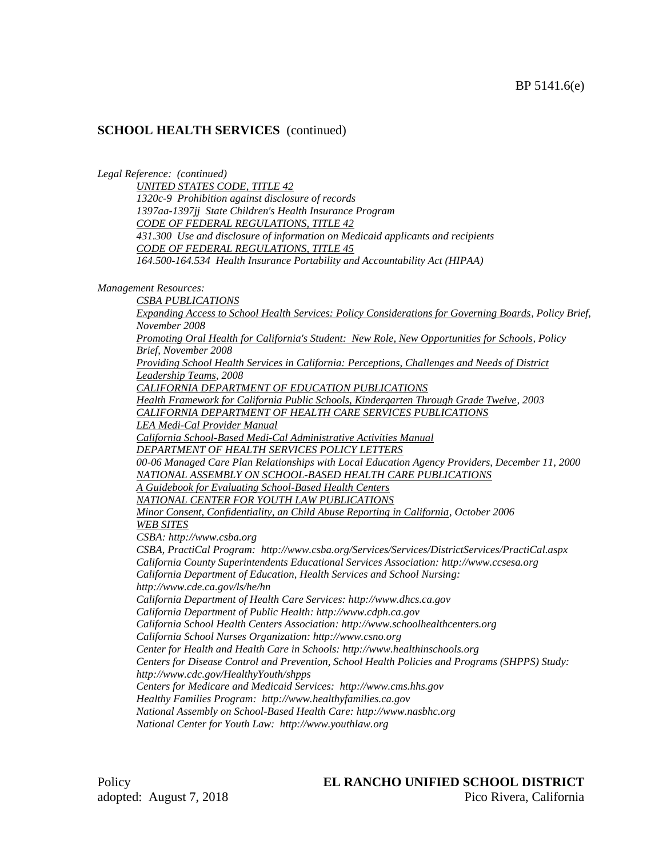*Legal Reference: (continued)*

*UNITED STATES CODE, TITLE 42 1320c-9 Prohibition against disclosure of records 1397aa-1397jj State Children's Health Insurance Program CODE OF FEDERAL REGULATIONS, TITLE 42 431.300 Use and disclosure of information on Medicaid applicants and recipients CODE OF FEDERAL REGULATIONS, TITLE 45 164.500-164.534 Health Insurance Portability and Accountability Act (HIPAA)*

*Management Resources:*

*CSBA PUBLICATIONS Expanding Access to School Health Services: Policy Considerations for Governing Boards, Policy Brief, November 2008 Promoting Oral Health for California's Student: New Role, New Opportunities for Schools, Policy Brief, November 2008 Providing School Health Services in California: Perceptions, Challenges and Needs of District Leadership Teams, 2008 CALIFORNIA DEPARTMENT OF EDUCATION PUBLICATIONS Health Framework for California Public Schools, Kindergarten Through Grade Twelve, 2003 CALIFORNIA DEPARTMENT OF HEALTH CARE SERVICES PUBLICATIONS LEA Medi-Cal Provider Manual California School-Based Medi-Cal Administrative Activities Manual DEPARTMENT OF HEALTH SERVICES POLICY LETTERS 00-06 Managed Care Plan Relationships with Local Education Agency Providers, December 11, 2000 NATIONAL ASSEMBLY ON SCHOOL-BASED HEALTH CARE PUBLICATIONS A Guidebook for Evaluating School-Based Health Centers NATIONAL CENTER FOR YOUTH LAW PUBLICATIONS Minor Consent, Confidentiality, an Child Abuse Reporting in California, October 2006 WEB SITES CSBA: http://www.csba.org CSBA, PractiCal Program: http://www.csba.org/Services/Services/DistrictServices/PractiCal.aspx California County Superintendents Educational Services Association: http://www.ccsesa.org California Department of Education, Health Services and School Nursing: http://www.cde.ca.gov/ls/he/hn California Department of Health Care Services: http://www.dhcs.ca.gov California Department of Public Health: http://www.cdph.ca.gov California School Health Centers Association: http://www.schoolhealthcenters.org California School Nurses Organization: http://www.csno.org Center for Health and Health Care in Schools: http://www.healthinschools.org Centers for Disease Control and Prevention, School Health Policies and Programs (SHPPS) Study: http://www.cdc.gov/HealthyYouth/shpps Centers for Medicare and Medicaid Services: http://www.cms.hhs.gov Healthy Families Program: http://www.healthyfamilies.ca.gov National Assembly on School-Based Health Care: http://www.nasbhc.org National Center for Youth Law: http://www.youthlaw.org*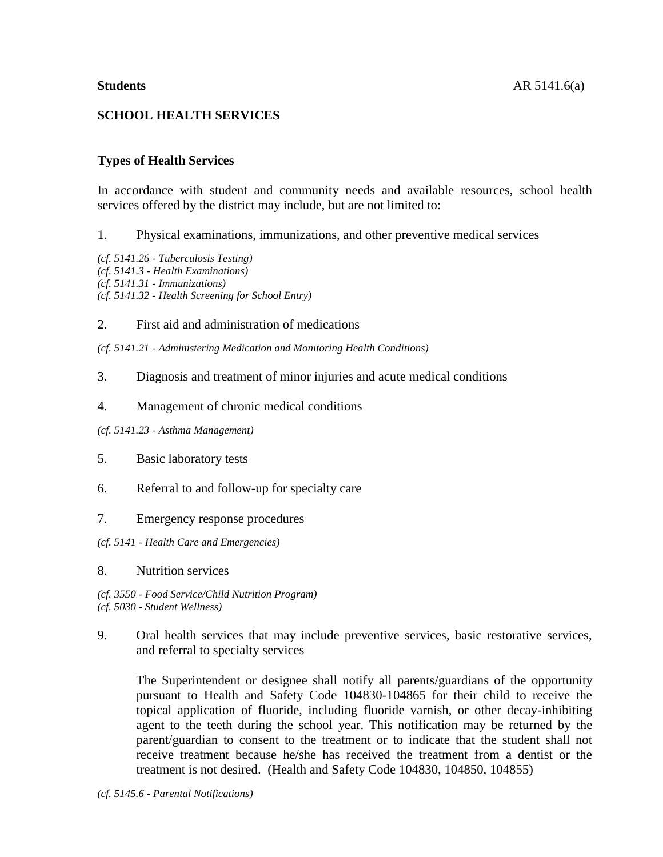# **SCHOOL HEALTH SERVICES**

## **Types of Health Services**

In accordance with student and community needs and available resources, school health services offered by the district may include, but are not limited to:

1. Physical examinations, immunizations, and other preventive medical services

*(cf. 5141.26 - Tuberculosis Testing) (cf. 5141.3 - Health Examinations) (cf. 5141.31 - Immunizations) (cf. 5141.32 - Health Screening for School Entry)*

2. First aid and administration of medications

*(cf. 5141.21 - Administering Medication and Monitoring Health Conditions)*

- 3. Diagnosis and treatment of minor injuries and acute medical conditions
- 4. Management of chronic medical conditions

*(cf. 5141.23 - Asthma Management)*

- 5. Basic laboratory tests
- 6. Referral to and follow-up for specialty care
- 7. Emergency response procedures
- *(cf. 5141 - Health Care and Emergencies)*
- 8. Nutrition services

*(cf. 3550 - Food Service/Child Nutrition Program) (cf. 5030 - Student Wellness)*

9. Oral health services that may include preventive services, basic restorative services, and referral to specialty services

The Superintendent or designee shall notify all parents/guardians of the opportunity pursuant to Health and Safety Code 104830-104865 for their child to receive the topical application of fluoride, including fluoride varnish, or other decay-inhibiting agent to the teeth during the school year. This notification may be returned by the parent/guardian to consent to the treatment or to indicate that the student shall not receive treatment because he/she has received the treatment from a dentist or the treatment is not desired. (Health and Safety Code 104830, 104850, 104855)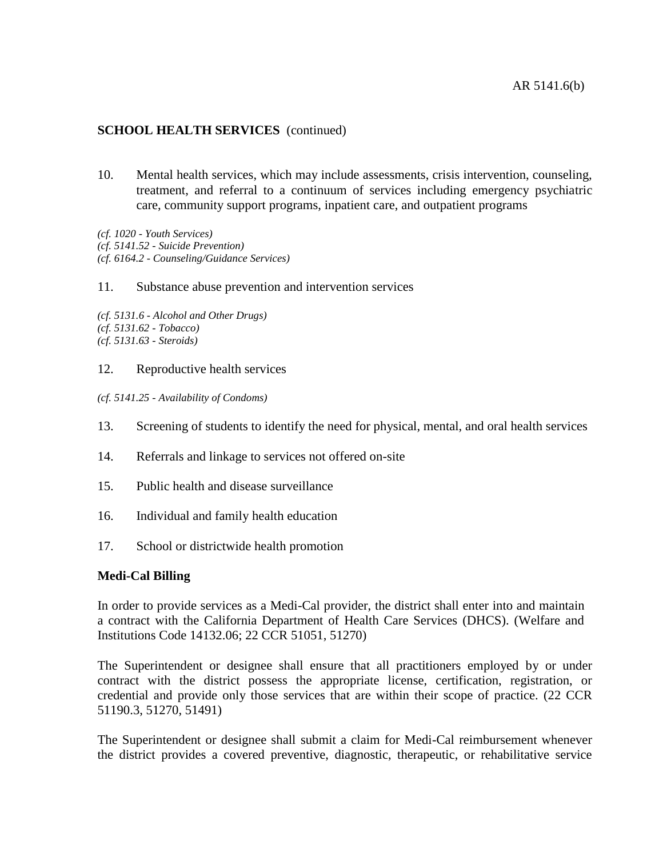10. Mental health services, which may include assessments, crisis intervention, counseling, treatment, and referral to a continuum of services including emergency psychiatric care, community support programs, inpatient care, and outpatient programs

*(cf. 1020 - Youth Services) (cf. 5141.52 - Suicide Prevention) (cf. 6164.2 - Counseling/Guidance Services)*

11. Substance abuse prevention and intervention services

*(cf. 5131.6 - Alcohol and Other Drugs) (cf. 5131.62 - Tobacco) (cf. 5131.63 - Steroids)*

12. Reproductive health services

*(cf. 5141.25 - Availability of Condoms)*

- 13. Screening of students to identify the need for physical, mental, and oral health services
- 14. Referrals and linkage to services not offered on-site
- 15. Public health and disease surveillance
- 16. Individual and family health education
- 17. School or districtwide health promotion

## **Medi-Cal Billing**

In order to provide services as a Medi-Cal provider, the district shall enter into and maintain a contract with the California Department of Health Care Services (DHCS). (Welfare and Institutions Code 14132.06; 22 CCR 51051, 51270)

The Superintendent or designee shall ensure that all practitioners employed by or under contract with the district possess the appropriate license, certification, registration, or credential and provide only those services that are within their scope of practice. (22 CCR 51190.3, 51270, 51491)

The Superintendent or designee shall submit a claim for Medi-Cal reimbursement whenever the district provides a covered preventive, diagnostic, therapeutic, or rehabilitative service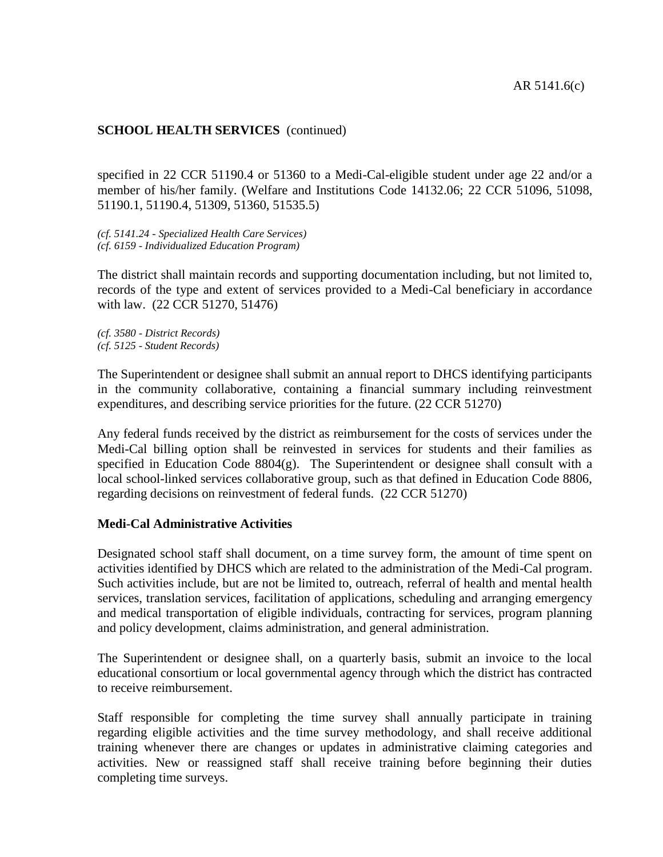specified in 22 CCR 51190.4 or 51360 to a Medi-Cal-eligible student under age 22 and/or a member of his/her family. (Welfare and Institutions Code 14132.06; 22 CCR 51096, 51098, 51190.1, 51190.4, 51309, 51360, 51535.5)

*(cf. 5141.24 - Specialized Health Care Services) (cf. 6159 - Individualized Education Program)*

The district shall maintain records and supporting documentation including, but not limited to, records of the type and extent of services provided to a Medi-Cal beneficiary in accordance with law. (22 CCR 51270, 51476)

*(cf. 3580 - District Records) (cf. 5125 - Student Records)*

The Superintendent or designee shall submit an annual report to DHCS identifying participants in the community collaborative, containing a financial summary including reinvestment expenditures, and describing service priorities for the future. (22 CCR 51270)

Any federal funds received by the district as reimbursement for the costs of services under the Medi-Cal billing option shall be reinvested in services for students and their families as specified in Education Code 8804(g). The Superintendent or designee shall consult with a local school-linked services collaborative group, such as that defined in Education Code 8806, regarding decisions on reinvestment of federal funds. (22 CCR 51270)

### **Medi-Cal Administrative Activities**

Designated school staff shall document, on a time survey form, the amount of time spent on activities identified by DHCS which are related to the administration of the Medi-Cal program. Such activities include, but are not be limited to, outreach, referral of health and mental health services, translation services, facilitation of applications, scheduling and arranging emergency and medical transportation of eligible individuals, contracting for services, program planning and policy development, claims administration, and general administration.

The Superintendent or designee shall, on a quarterly basis, submit an invoice to the local educational consortium or local governmental agency through which the district has contracted to receive reimbursement.

Staff responsible for completing the time survey shall annually participate in training regarding eligible activities and the time survey methodology, and shall receive additional training whenever there are changes or updates in administrative claiming categories and activities. New or reassigned staff shall receive training before beginning their duties completing time surveys.